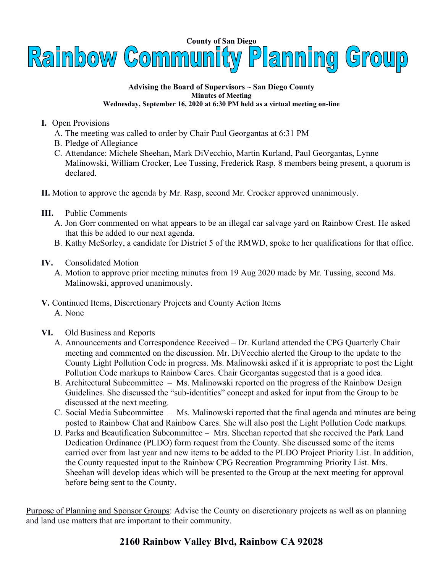

## **Advising the Board of Supervisors ~ San Diego County Minutes of Meeting Wednesday, September 16, 2020 at 6:30 PM held as a virtual meeting on-line**

- **I.** Open Provisions
	- A. The meeting was called to order by Chair Paul Georgantas at 6:31 PM
	- B. Pledge of Allegiance
	- C. Attendance: Michele Sheehan, Mark DiVecchio, Martin Kurland, Paul Georgantas, Lynne Malinowski, William Crocker, Lee Tussing, Frederick Rasp. 8 members being present, a quorum is declared.
- **II.** Motion to approve the agenda by Mr. Rasp, second Mr. Crocker approved unanimously.
- **III.** Public Comments
	- A. Jon Gorr commented on what appears to be an illegal car salvage yard on Rainbow Crest. He asked that this be added to our next agenda.
	- B. Kathy McSorley, a candidate for District 5 of the RMWD, spoke to her qualifications for that office.
- **IV.** Consolidated Motion
	- A. Motion to approve prior meeting minutes from 19 Aug 2020 made by Mr. Tussing, second Ms. Malinowski, approved unanimously.
- **V.** Continued Items, Discretionary Projects and County Action Items A. None
- **VI.** Old Business and Reports
	- A. Announcements and Correspondence Received Dr. Kurland attended the CPG Quarterly Chair meeting and commented on the discussion. Mr. DiVecchio alerted the Group to the update to the County Light Pollution Code in progress. Ms. Malinowski asked if it is appropriate to post the Light Pollution Code markups to Rainbow Cares. Chair Georgantas suggested that is a good idea.
	- B. Architectural Subcommittee Ms. Malinowski reported on the progress of the Rainbow Design Guidelines. She discussed the "sub-identities" concept and asked for input from the Group to be discussed at the next meeting.
	- C. Social Media Subcommittee Ms. Malinowski reported that the final agenda and minutes are being posted to Rainbow Chat and Rainbow Cares. She will also post the Light Pollution Code markups.
	- D. Parks and Beautification Subcommittee Mrs. Sheehan reported that she received the Park Land Dedication Ordinance (PLDO) form request from the County. She discussed some of the items carried over from last year and new items to be added to the PLDO Project Priority List. In addition, the County requested input to the Rainbow CPG Recreation Programming Priority List. Mrs. Sheehan will develop ideas which will be presented to the Group at the next meeting for approval before being sent to the County.

Purpose of Planning and Sponsor Groups: Advise the County on discretionary projects as well as on planning and land use matters that are important to their community.

## **2160 Rainbow Valley Blvd, Rainbow CA 92028**